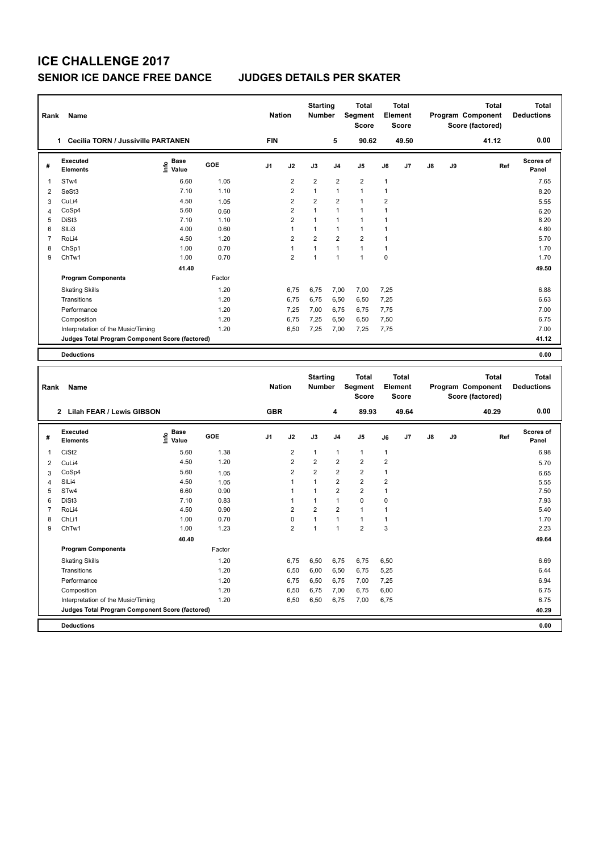# **ICE CHALLENGE 2017 SENIOR ICE DANCE FREE DANCE JUDGES DETAILS PER SKATER**

| Rank           | Name                                                     |                              |        | <b>Nation</b> |                | <b>Starting</b><br><b>Number</b> |                         | <b>Total</b><br>Segment<br><b>Score</b> |                      | <b>Total</b><br>Element<br>Score |               |    | <b>Total</b><br>Program Component<br>Score (factored) | Total<br><b>Deductions</b> |
|----------------|----------------------------------------------------------|------------------------------|--------|---------------|----------------|----------------------------------|-------------------------|-----------------------------------------|----------------------|----------------------------------|---------------|----|-------------------------------------------------------|----------------------------|
|                | <b>Cecilia TORN / Jussiville PARTANEN</b><br>$\mathbf 1$ |                              |        | <b>FIN</b>    |                |                                  | 5                       | 90.62                                   |                      | 49.50                            |               |    | 41.12                                                 | 0.00                       |
| #              | Executed<br><b>Elements</b>                              | <b>Base</b><br>١nfo<br>Value | GOE    | J1            | J2             | J3                               | J <sub>4</sub>          | J <sub>5</sub>                          | J6                   | J <sub>7</sub>                   | $\mathsf{J}8$ | J9 | Ref                                                   | <b>Scores of</b><br>Panel  |
| -1             | STw4                                                     | 6.60                         | 1.05   |               | $\overline{2}$ | $\overline{2}$                   | $\overline{2}$          | $\overline{2}$                          | 1                    |                                  |               |    |                                                       | 7.65                       |
| $\overline{2}$ | SeSt3                                                    | 7.10                         | 1.10   |               | 2              | $\mathbf{1}$                     | $\overline{1}$          | $\mathbf{1}$                            | 1                    |                                  |               |    |                                                       | 8.20                       |
| 3              | CuLi4                                                    | 4.50                         | 1.05   |               | 2              | $\overline{2}$                   | $\overline{2}$          | $\overline{1}$                          | $\overline{2}$       |                                  |               |    |                                                       | 5.55                       |
| 4              | CoSp4                                                    | 5.60                         | 0.60   |               | $\overline{2}$ | 1                                | $\overline{1}$          | 1                                       | $\blacktriangleleft$ |                                  |               |    |                                                       | 6.20                       |
| 5              | DiSt3                                                    | 7.10                         | 1.10   |               | $\overline{2}$ | $\mathbf{1}$                     | $\overline{1}$          | $\overline{1}$                          | $\overline{1}$       |                                  |               |    |                                                       | 8.20                       |
| 6              | SILi3                                                    | 4.00                         | 0.60   |               | 1              | $\mathbf{1}$                     | $\overline{\mathbf{1}}$ | $\mathbf{1}$                            | -1                   |                                  |               |    |                                                       | 4.60                       |
| 7              | RoLi4                                                    | 4.50                         | 1.20   |               | $\overline{2}$ | $\overline{2}$                   | $\overline{2}$          | $\overline{2}$                          | $\overline{1}$       |                                  |               |    |                                                       | 5.70                       |
| 8              | ChSp1                                                    | 1.00                         | 0.70   |               | $\mathbf{1}$   | 1                                | $\overline{1}$          | $\mathbf{1}$                            | 1                    |                                  |               |    |                                                       | 1.70                       |
| 9              | ChTw1                                                    | 1.00                         | 0.70   |               | $\overline{2}$ | $\mathbf{1}$                     | $\overline{1}$          | 1                                       | $\Omega$             |                                  |               |    |                                                       | 1.70                       |
|                |                                                          | 41.40                        |        |               |                |                                  |                         |                                         |                      |                                  |               |    |                                                       | 49.50                      |
|                | <b>Program Components</b>                                |                              | Factor |               |                |                                  |                         |                                         |                      |                                  |               |    |                                                       |                            |
|                | <b>Skating Skills</b>                                    |                              | 1.20   |               | 6,75           | 6,75                             | 7,00                    | 7,00                                    | 7,25                 |                                  |               |    |                                                       | 6.88                       |
|                | Transitions                                              |                              | 1.20   |               | 6,75           | 6,75                             | 6,50                    | 6,50                                    | 7,25                 |                                  |               |    |                                                       | 6.63                       |
|                | Performance                                              |                              | 1.20   |               | 7,25           | 7,00                             | 6.75                    | 6,75                                    | 7.75                 |                                  |               |    |                                                       | 7.00                       |
|                | Composition                                              |                              | 1.20   |               | 6.75           | 7.25                             | 6,50                    | 6,50                                    | 7,50                 |                                  |               |    |                                                       | 6.75                       |
|                | Interpretation of the Music/Timing                       |                              | 1.20   |               | 6,50           | 7,25                             | 7,00                    | 7,25                                    | 7,75                 |                                  |               |    |                                                       | 7.00                       |
|                | Judges Total Program Component Score (factored)          |                              |        |               |                |                                  |                         |                                         |                      |                                  |               |    |                                                       | 41.12                      |
|                | <b>Deductions</b>                                        |                              |        |               |                |                                  |                         |                                         |                      |                                  |               |    |                                                       | 0.00                       |
|                |                                                          |                              |        |               |                |                                  |                         |                                         |                      |                                  |               |    |                                                       |                            |

| Rank           | Name                                            |                              |        | <b>Nation</b>  |                         | <b>Starting</b><br><b>Number</b> |                | <b>Total</b><br>Segment<br><b>Score</b> |                | <b>Total</b><br>Element<br><b>Score</b> |               |    | <b>Total</b><br>Program Component<br>Score (factored) | <b>Total</b><br><b>Deductions</b> |
|----------------|-------------------------------------------------|------------------------------|--------|----------------|-------------------------|----------------------------------|----------------|-----------------------------------------|----------------|-----------------------------------------|---------------|----|-------------------------------------------------------|-----------------------------------|
|                | 2 Lilah FEAR / Lewis GIBSON                     |                              |        | <b>GBR</b>     |                         |                                  | 4              | 89.93                                   |                | 49.64                                   |               |    | 40.29                                                 | 0.00                              |
| #              | Executed<br><b>Elements</b>                     | <b>Base</b><br>Info<br>Value | GOE    | J <sub>1</sub> | J2                      | J3                               | J <sub>4</sub> | J <sub>5</sub>                          | J6             | J7                                      | $\mathsf{J}8$ | J9 | Ref                                                   | Scores of<br>Panel                |
| 1              | CiSt <sub>2</sub>                               | 5.60                         | 1.38   |                | $\overline{2}$          | $\mathbf{1}$                     | $\mathbf{1}$   | $\mathbf{1}$                            | $\mathbf{1}$   |                                         |               |    |                                                       | 6.98                              |
| 2              | CuLi4                                           | 4.50                         | 1.20   |                | $\overline{2}$          | $\overline{2}$                   | $\overline{2}$ | $\overline{2}$                          | $\overline{2}$ |                                         |               |    |                                                       | 5.70                              |
| 3              | CoSp4                                           | 5.60                         | 1.05   |                | $\overline{2}$          | $\overline{2}$                   | $\overline{2}$ | $\overline{\mathbf{c}}$                 | 1              |                                         |               |    |                                                       | 6.65                              |
| 4              | SILi4                                           | 4.50                         | 1.05   |                |                         |                                  | $\overline{2}$ | $\overline{2}$                          | $\overline{2}$ |                                         |               |    |                                                       | 5.55                              |
| 5              | ST <sub>w</sub> 4                               | 6.60                         | 0.90   |                |                         |                                  | $\overline{2}$ | $\overline{\mathbf{c}}$                 | 1              |                                         |               |    |                                                       | 7.50                              |
| 6              | DiSt3                                           | 7.10                         | 0.83   |                |                         |                                  | $\mathbf{1}$   | $\mathbf 0$                             | 0              |                                         |               |    |                                                       | 7.93                              |
| $\overline{7}$ | RoLi4                                           | 4.50                         | 0.90   |                | $\overline{2}$          | $\overline{2}$                   | $\overline{2}$ | $\blacktriangleleft$                    |                |                                         |               |    |                                                       | 5.40                              |
| 8              | ChLi1                                           | 1.00                         | 0.70   |                | $\mathbf 0$             |                                  | $\mathbf{1}$   | $\mathbf{1}$                            | 1              |                                         |               |    |                                                       | 1.70                              |
| 9              | ChTw1                                           | 1.00                         | 1.23   |                | $\overline{\mathbf{c}}$ | 1                                | $\overline{1}$ | $\overline{2}$                          | 3              |                                         |               |    |                                                       | 2.23                              |
|                |                                                 | 40.40                        |        |                |                         |                                  |                |                                         |                |                                         |               |    |                                                       | 49.64                             |
|                | <b>Program Components</b>                       |                              | Factor |                |                         |                                  |                |                                         |                |                                         |               |    |                                                       |                                   |
|                | <b>Skating Skills</b>                           |                              | 1.20   |                | 6,75                    | 6,50                             | 6,75           | 6,75                                    | 6,50           |                                         |               |    |                                                       | 6.69                              |
|                | Transitions                                     |                              | 1.20   |                | 6,50                    | 6,00                             | 6,50           | 6,75                                    | 5,25           |                                         |               |    |                                                       | 6.44                              |
|                | Performance                                     |                              | 1.20   |                | 6,75                    | 6,50                             | 6,75           | 7,00                                    | 7,25           |                                         |               |    |                                                       | 6.94                              |
|                | Composition                                     |                              | 1.20   |                | 6,50                    | 6,75                             | 7,00           | 6,75                                    | 6,00           |                                         |               |    |                                                       | 6.75                              |
|                | Interpretation of the Music/Timing              |                              | 1.20   |                | 6,50                    | 6,50                             | 6,75           | 7,00                                    | 6,75           |                                         |               |    |                                                       | 6.75                              |
|                | Judges Total Program Component Score (factored) |                              |        |                |                         |                                  |                |                                         |                |                                         |               |    |                                                       | 40.29                             |
|                | <b>Deductions</b>                               |                              |        |                |                         |                                  |                |                                         |                |                                         |               |    |                                                       | 0.00                              |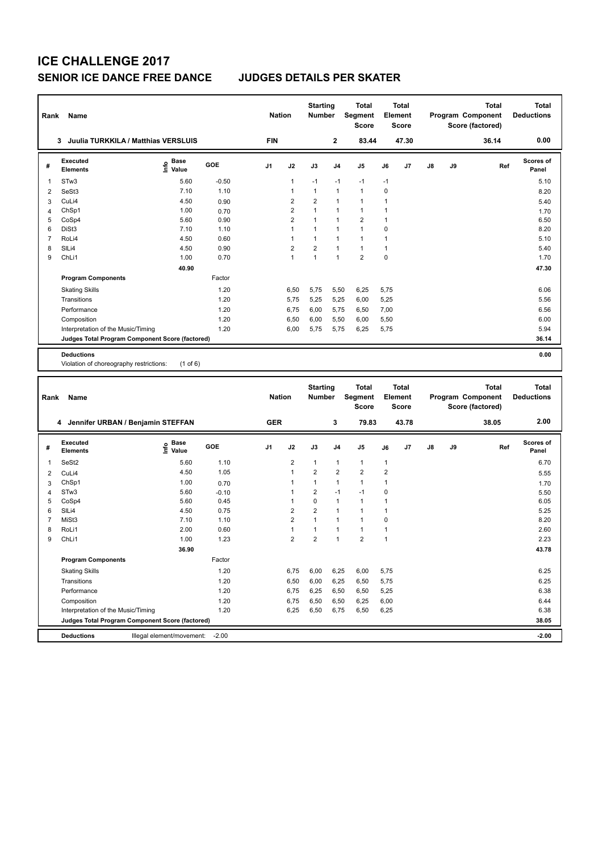# **ICE CHALLENGE 2017 SENIOR ICE DANCE FREE DANCE JUDGES DETAILS PER SKATER**

| Rank           | Name                                              |                                           |              |            | <b>Nation</b>           | <b>Starting</b><br><b>Number</b> |                              | Total<br>Segment<br><b>Score</b> |                             | <b>Total</b><br>Element<br>Score |    |    | <b>Total</b><br>Program Component<br>Score (factored) | <b>Total</b><br><b>Deductions</b> |
|----------------|---------------------------------------------------|-------------------------------------------|--------------|------------|-------------------------|----------------------------------|------------------------------|----------------------------------|-----------------------------|----------------------------------|----|----|-------------------------------------------------------|-----------------------------------|
|                | 3 Juulia TURKKILA / Matthias VERSLUIS             |                                           |              | <b>FIN</b> |                         |                                  | $\overline{\mathbf{2}}$      | 83.44                            |                             | 47.30                            |    |    | 36.14                                                 | 0.00                              |
| #              | <b>Executed</b><br><b>Elements</b>                | $\frac{e}{E}$ Base<br>$\frac{e}{E}$ Value | GOE          | J1         | J2                      | J3                               | J4                           | J5                               | J6                          | J7                               | J8 | J9 | Ref                                                   | <b>Scores of</b><br>Panel         |
| 1              | STw3                                              | 5.60                                      | $-0.50$      |            | 1                       | $-1$                             | $-1$                         | $-1$                             | $-1$                        |                                  |    |    |                                                       | 5.10                              |
| 2              | SeSt3                                             | 7.10                                      | 1.10         |            | 1                       | 1                                | $\mathbf{1}$                 | $\mathbf{1}$                     | $\mathbf 0$                 |                                  |    |    |                                                       | 8.20                              |
| 3              | CuLi4                                             | 4.50                                      | 0.90         |            | 2                       | 2                                | $\overline{1}$               | 1                                | 1                           |                                  |    |    |                                                       | 5.40                              |
| $\overline{4}$ | ChSp1                                             | 1.00                                      | 0.70         |            | 2                       | 1                                | $\overline{1}$               | $\mathbf{1}$                     | 1                           |                                  |    |    |                                                       | 1.70                              |
| 5              | CoSp4                                             | 5.60                                      | 0.90         |            | $\overline{\mathbf{c}}$ | 1                                | $\mathbf{1}$                 | $\overline{2}$                   | 1                           |                                  |    |    |                                                       | 6.50                              |
| 6              | DiSt <sub>3</sub>                                 | 7.10                                      | 1.10         |            | $\mathbf{1}$            | $\mathbf{1}$                     | $\mathbf{1}$                 | $\mathbf{1}$                     | $\mathbf 0$                 |                                  |    |    |                                                       | 8.20                              |
| $\overline{7}$ | RoLi4                                             | 4.50                                      | 0.60         |            | 1                       | 1                                | $\mathbf{1}$                 | $\mathbf{1}$                     | 1                           |                                  |    |    |                                                       | 5.10                              |
| 8<br>9         | SILi4<br>ChL <sub>i1</sub>                        | 4.50<br>1.00                              | 0.90<br>0.70 |            | 2<br>$\mathbf{1}$       | 2<br>1                           | $\mathbf{1}$<br>$\mathbf{1}$ | $\mathbf{1}$<br>$\overline{2}$   | $\mathbf{1}$<br>$\mathbf 0$ |                                  |    |    |                                                       | 5.40<br>1.70                      |
|                |                                                   |                                           |              |            |                         |                                  |                              |                                  |                             |                                  |    |    |                                                       |                                   |
|                |                                                   | 40.90                                     |              |            |                         |                                  |                              |                                  |                             |                                  |    |    |                                                       | 47.30                             |
|                | <b>Program Components</b>                         |                                           | Factor       |            |                         |                                  |                              |                                  |                             |                                  |    |    |                                                       |                                   |
|                | <b>Skating Skills</b>                             |                                           | 1.20         |            | 6,50                    | 5,75                             | 5,50                         | 6,25                             | 5,75                        |                                  |    |    |                                                       | 6.06                              |
|                | Transitions                                       |                                           | 1.20         |            | 5,75                    | 5,25                             | 5,25                         | 6,00                             | 5,25                        |                                  |    |    |                                                       | 5.56                              |
|                | Performance                                       |                                           | 1.20         |            | 6,75                    | 6,00                             | 5,75                         | 6,50                             | 7,00                        |                                  |    |    |                                                       | 6.56                              |
|                | Composition<br>Interpretation of the Music/Timing |                                           | 1.20<br>1.20 |            | 6,50<br>6,00            | 6,00<br>5,75                     | 5,50<br>5,75                 | 6,00<br>6,25                     | 5,50<br>5,75                |                                  |    |    |                                                       | 6.00<br>5.94                      |
|                | Judges Total Program Component Score (factored)   |                                           |              |            |                         |                                  |                              |                                  |                             |                                  |    |    |                                                       | 36.14                             |
|                |                                                   |                                           |              |            |                         |                                  |                              |                                  |                             |                                  |    |    |                                                       |                                   |
|                | <b>Deductions</b>                                 |                                           |              |            |                         |                                  |                              |                                  |                             |                                  |    |    |                                                       | 0.00                              |
|                | Violation of choreography restrictions:           | $(1$ of 6)                                |              |            |                         |                                  |                              |                                  |                             |                                  |    |    |                                                       |                                   |
|                |                                                   |                                           |              |            |                         |                                  |                              |                                  |                             |                                  |    |    |                                                       |                                   |
|                |                                                   |                                           |              |            |                         |                                  |                              |                                  |                             |                                  |    |    |                                                       |                                   |
|                |                                                   |                                           |              |            |                         | <b>Starting</b>                  |                              | Total                            |                             | <b>Total</b>                     |    |    | <b>Total</b>                                          | <b>Total</b>                      |
| Rank           | Name                                              |                                           |              |            | <b>Nation</b>           | <b>Number</b>                    |                              | <b>Segment</b>                   |                             | Element                          |    |    | Program Component                                     | <b>Deductions</b>                 |
|                |                                                   |                                           |              |            |                         |                                  |                              | <b>Score</b>                     |                             | <b>Score</b>                     |    |    | Score (factored)                                      |                                   |
|                | 4 Jennifer URBAN / Benjamin STEFFAN               |                                           |              | <b>GER</b> |                         |                                  | 3                            | 79.83                            |                             | 43.78                            |    |    | 38.05                                                 | 2.00                              |
| #              | <b>Executed</b><br><b>Elements</b>                | Base<br>١m<br>Value                       | GOE          | J1         | J2                      | J3                               | J <sub>4</sub>               | J5                               | J6                          | J7                               | J8 | J9 | Ref                                                   | <b>Scores of</b><br>Panel         |
| 1              | SeSt2                                             | 5.60                                      | 1.10         |            | 2                       | $\mathbf{1}$                     | $\mathbf{1}$                 | $\mathbf{1}$                     | 1                           |                                  |    |    |                                                       | 6.70                              |
| $\overline{2}$ | CuLi4                                             | 4.50                                      | 1.05         |            | $\mathbf{1}$            | 2                                | $\overline{2}$               | $\overline{\mathbf{c}}$          | $\overline{\mathbf{c}}$     |                                  |    |    |                                                       | 5.55                              |
| 3              | ChSp1                                             | 1.00                                      | 0.70         |            | 1                       | 1                                | $\mathbf{1}$                 | $\mathbf{1}$                     | 1                           |                                  |    |    |                                                       | 1.70                              |
| $\overline{4}$ | STw3                                              | 5.60                                      | $-0.10$      |            | 1                       | 2                                | $-1$                         | $-1$                             | $\mathbf 0$                 |                                  |    |    |                                                       | 5.50                              |
| 5              | CoSp4                                             | 5.60                                      | 0.45         |            | 1                       | 0                                | $\mathbf{1}$                 | $\mathbf{1}$                     | 1                           |                                  |    |    |                                                       | 6.05                              |
| 6              | SIL <sub>i4</sub>                                 | 4.50                                      | 0.75         |            | 2                       | 2                                | $\mathbf{1}$                 | $\mathbf{1}$                     | $\mathbf{1}$                |                                  |    |    |                                                       | 5.25                              |
| $\overline{7}$ | MiSt3                                             | 7.10                                      | 1.10         |            | $\overline{2}$          | 1                                | $\mathbf{1}$                 | $\mathbf{1}$                     | $\mathbf 0$                 |                                  |    |    |                                                       | 8.20                              |
| 8              | RoLi1                                             | 2.00                                      | 0.60         |            | 1                       | 1                                | $\mathbf{1}$                 | $\mathbf{1}$                     | 1                           |                                  |    |    |                                                       | 2.60                              |
| 9              | ChL <sub>i1</sub>                                 | 1.00                                      | 1.23         |            | $\overline{2}$          | $\overline{2}$                   | $\overline{1}$               | $\overline{2}$                   | 1                           |                                  |    |    |                                                       | 2.23                              |
|                |                                                   | 36.90                                     |              |            |                         |                                  |                              |                                  |                             |                                  |    |    |                                                       | 43.78                             |
|                | <b>Program Components</b>                         |                                           | Factor       |            |                         |                                  |                              |                                  |                             |                                  |    |    |                                                       |                                   |
|                | <b>Skating Skills</b>                             |                                           | 1.20         |            | 6,75                    | 6,00                             | 6,25                         | 6,00                             | 5,75                        |                                  |    |    |                                                       | 6.25                              |
|                | Transitions                                       |                                           | 1.20         |            | 6,50                    | 6,00                             | 6,25                         | 6,50                             | 5,75                        |                                  |    |    |                                                       | 6.25                              |
|                | Performance                                       |                                           | 1.20         |            | 6,75                    | 6,25                             | 6,50                         | 6,50                             | 5,25                        |                                  |    |    |                                                       | 6.38                              |
|                | Composition                                       |                                           | 1.20         |            | 6,75                    | 6,50                             | 6,50                         | 6,25                             | 6,00                        |                                  |    |    |                                                       | 6.44                              |
|                | Interpretation of the Music/Timing                |                                           | 1.20         |            | 6,25                    | 6,50                             | 6,75                         | 6,50                             | 6,25                        |                                  |    |    |                                                       | 6.38                              |
|                | Judges Total Program Component Score (factored)   |                                           | $-2.00$      |            |                         |                                  |                              |                                  |                             |                                  |    |    |                                                       | 38.05                             |